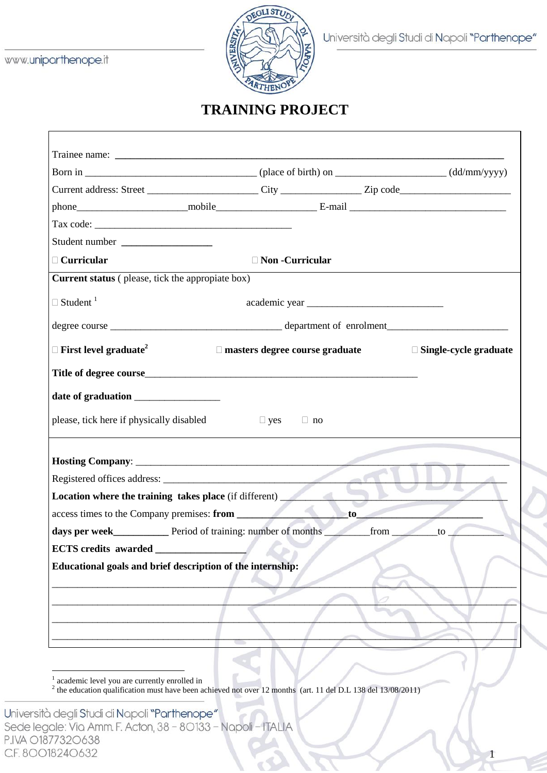

1

## **TRAINING PROJECT**

| Student number ____________________                             |  |                                       |  |                              |
|-----------------------------------------------------------------|--|---------------------------------------|--|------------------------------|
| □ Curricular                                                    |  | □ Non -Curricular                     |  |                              |
| <b>Current status</b> (please, tick the appropiate box)         |  |                                       |  |                              |
| $\Box$ Student <sup>1</sup>                                     |  |                                       |  |                              |
|                                                                 |  |                                       |  |                              |
| $\Box$ First level graduate <sup>2</sup>                        |  | $\Box$ masters degree course graduate |  | $\Box$ Single-cycle graduate |
|                                                                 |  |                                       |  |                              |
|                                                                 |  |                                       |  |                              |
|                                                                 |  |                                       |  |                              |
| please, tick here if physically disabled                        |  | $\Box$ yes<br>$\Box$ no               |  |                              |
|                                                                 |  |                                       |  |                              |
|                                                                 |  |                                       |  |                              |
| Registered offices address:                                     |  |                                       |  |                              |
| Location where the training takes place (if different)          |  |                                       |  |                              |
| access times to the Company premises: from                      |  |                                       |  |                              |
| days per week_____________ Period of training: number of months |  |                                       |  | from to                      |
| <b>ECTS</b> credits awarded                                     |  |                                       |  |                              |
|                                                                 |  |                                       |  |                              |
| Educational goals and brief description of the internship:      |  |                                       |  |                              |
|                                                                 |  |                                       |  |                              |
|                                                                 |  |                                       |  |                              |
|                                                                 |  |                                       |  |                              |
|                                                                 |  |                                       |  |                              |